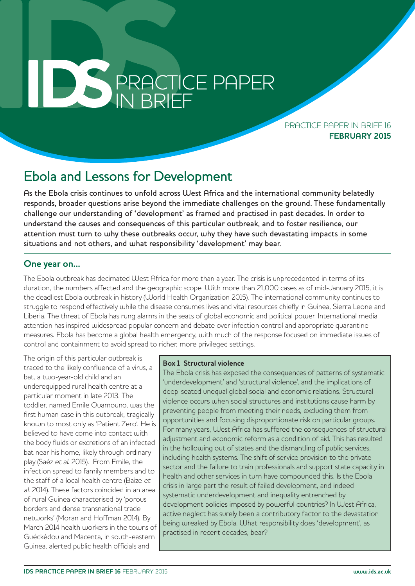# **PRACTICE PAPER** PRACTICE PAPER IN BRIEF

PRACTICE PAPER IN BRIEF 16 **FEBRUARY 2015**

# Ebola and Lessons for Development

As the Ebola crisis continues to unfold across West Africa and the international community belatedly responds, broader questions arise beyond the immediate challenges on the ground. These fundamentally challenge our understanding of 'development' as framed and practised in past decades. In order to understand the causes and consequences of this particular outbreak, and to foster resilience, our attention must turn to why these outbreaks occur, why they have such devastating impacts in some situations and not others, and what responsibility 'development' may bear.

### **One year on...**

The Ebola outbreak has decimated West Africa for more than a year. The crisis is unprecedented in terms of its duration, the numbers affected and the geographic scope. With more than 21,000 cases as of mid-January 2015, it is the deadliest Ebola outbreak in history (World Health Organization 2015). The international community continues to struggle to respond effectively while the disease consumes lives and vital resources chiefly in Guinea, Sierra Leone and Liberia. The threat of Ebola has rung alarms in the seats of global economic and political power. International media attention has inspired widespread popular concern and debate over infection control and appropriate quarantine measures. Ebola has become a global health emergency, with much of the response focused on immediate issues of control and containment to avoid spread to richer, more privileged settings.

The origin of this particular outbreak is traced to the likely confluence of a virus, a bat, a two-year-old child and an underequipped rural health centre at a particular moment in late 2013. The toddler, named Emile Ouamouno, was the first human case in this outbreak, tragically known to most only as 'Patient Zero'. He is believed to have come into contact with the body fluids or excretions of an infected bat near his home, likely through ordinary play (Saéz et al. 2015). From Emile, the infection spread to family members and to the staff of a local health centre (Baize et al. 2014). These factors coincided in an area of rural Guinea characterised by 'porous borders and dense transnational trade networks' (Moran and Hoffman 2014). By March 2014 health workers in the towns of Guéckédou and Macenta, in south-eastern Guinea, alerted public health officials and

#### **Box 1 Structural violence**

The Ebola crisis has exposed the consequences of patterns of systematic 'underdevelopment' and 'structural violence', and the implications of deep-seated unequal global social and economic relations. Structural violence occurs when social structures and institutions cause harm by preventing people from meeting their needs, excluding them from opportunities and focusing disproportionate risk on particular groups. For many years, West Africa has suffered the consequences of structural adjustment and economic reform as a condition of aid. This has resulted in the hollowing out of states and the dismantling of public services, including health systems. The shift of service provision to the private sector and the failure to train professionals and support state capacity in health and other services in turn have compounded this. Is the Ebola crisis in large part the result of failed development, and indeed systematic underdevelopment and inequality entrenched by development policies imposed by powerful countries? In West Africa, active neglect has surely been a contributory factor to the devastation being wreaked by Ebola. What responsibility does 'development', as practised in recent decades, bear?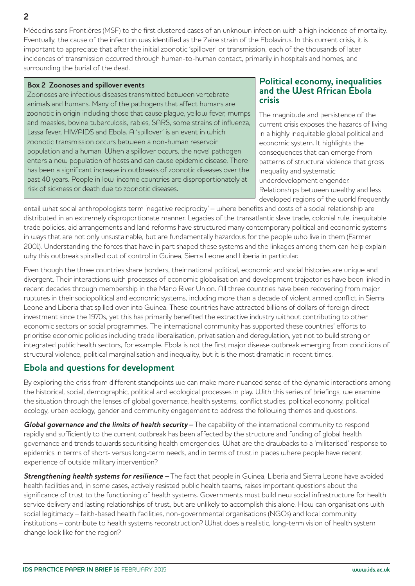Médecins sans Frontières (MSF) to the first clustered cases of an unknown infection with a high incidence of mortality. Eventually, the cause of the infection was identified as the Zaire strain of the Ebolavirus. In this current crisis, it is important to appreciate that after the initial zoonotic 'spillover' or transmission, each of the thousands of later incidences of transmission occurred through human-to-human contact, primarily in hospitals and homes, and surrounding the burial of the dead.

#### **Box 2 Zoonoses and spillover events**

Zoonoses are infectious diseases transmitted between vertebrate animals and humans. Many of the pathogens that affect humans are zoonotic in origin including those that cause plague, yellow fever, mumps and measles, bovine tuberculosis, rabies, SARS, some strains of influenza, Lassa fever, HIV/AIDS and Ebola. A 'spillover' is an event in which zoonotic transmission occurs between a non-human reservoir population and a human. When a spillover occurs, the novel pathogen enters a new population of hosts and can cause epidemic disease. There has been a significant increase in outbreaks of zoonotic diseases over the past 40 years. People in low-income countries are disproportionately at risk of sickness or death due to zoonotic diseases.

#### **Political economy, inequalities and the West African Ebola crisis**

The magnitude and persistence of the current crisis exposes the hazards of living in a highly inequitable global political and economic system. It highlights the consequences that can emerge from patterns of structural violence that gross inequality and systematic underdevelopment engender. Relationships between wealthy and less developed regions of the world frequently

entail what social anthropologists term 'negative reciprocity' – where benefits and costs of a social relationship are distributed in an extremely disproportionate manner. Legacies of the transatlantic slave trade, colonial rule, inequitable trade policies, aid arrangements and land reforms have structured many contemporary political and economic systems in ways that are not only unsustainable, but are fundamentally hazardous for the people who live in them (Farmer 2001). Understanding the forces that have in part shaped these systems and the linkages among them can help explain why this outbreak spiralled out of control in Guinea, Sierra Leone and Liberia in particular.

Even though the three countries share borders, their national political, economic and social histories are unique and divergent. Their interactions with processes of economic globalisation and development trajectories have been linked in recent decades through membership in the Mano River Union. All three countries have been recovering from major ruptures in their sociopolitical and economic systems, including more than a decade of violent armed conflict in Sierra Leone and Liberia that spilled over into Guinea. These countries have attracted billions of dollars of foreign direct investment since the 1970s, yet this has primarily benefited the extractive industry without contributing to other economic sectors or social programmes. The international community has supported these countries' efforts to prioritise economic policies including trade liberalisation, privatisation and deregulation, yet not to build strong or integrated public health sectors, for example. Ebola is not the first major disease outbreak emerging from conditions of structural violence, political marginalisation and inequality, but it is the most dramatic in recent times.

# **Ebola and questions for development**

By exploring the crisis from different standpoints we can make more nuanced sense of the dynamic interactions among the historical, social, demographic, political and ecological processes in play. With this series of briefings, we examine the situation through the lenses of global governance, health systems, conflict studies, political economy, political ecology, urban ecology, gender and community engagement to address the following themes and questions.

**Global governance and the limits of health security –** The capability of the international community to respond rapidly and sufficiently to the current outbreak has been affected by the structure and funding of global health governance and trends towards securitising health emergencies. What are the drawbacks to a 'militarised' response to epidemics in terms of short- versus long-term needs, and in terms of trust in places where people have recent experience of outside military intervention?

**Strengthening health systems for resilience –** The fact that people in Guinea, Liberia and Sierra Leone have avoided health facilities and, in some cases, actively resisted public health teams, raises important questions about the significance of trust to the functioning of health systems. Governments must build new social infrastructure for health service delivery and lasting relationships of trust, but are unlikely to accomplish this alone. How can organisations with social legitimacy – faith-based health facilities, non-governmental organisations (NGOs) and local community institutions – contribute to health systems reconstruction? What does a realistic, long-term vision of health system change look like for the region?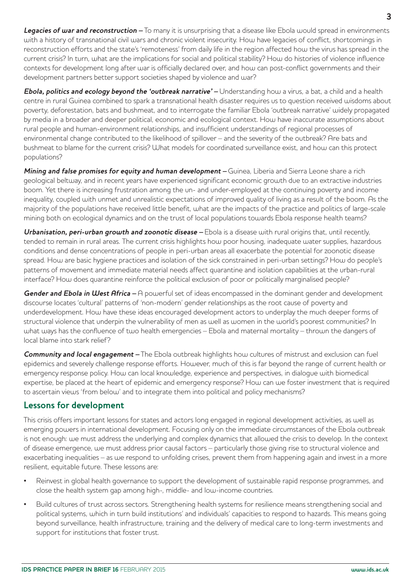**Legacies of war and reconstruction –** To many it is unsurprising that a disease like Ebola would spread in environments with a history of transnational civil wars and chronic violent insecurity. How have legacies of conflict, shortcomings in reconstruction efforts and the state's 'remoteness' from daily life in the region affected how the virus has spread in the current crisis? In turn, what are the implications for social and political stability? How do histories of violence influence contexts for development long after war is officially declared over, and how can post-conflict governments and their development partners better support societies shaped by violence and war?

**Ebola, politics and ecology beyond the 'outbreak narrative' –** Understanding how a virus, a bat, a child and a health centre in rural Guinea combined to spark a transnational health disaster requires us to question received wisdoms about poverty, deforestation, bats and bushmeat, and to interrogate the familiar Ebola 'outbreak narrative' widely propagated by media in a broader and deeper political, economic and ecological context. How have inaccurate assumptions about rural people and human-environment relationships, and insufficient understandings of regional processes of environmental change contributed to the likelihood of spillover – and the severity of the outbreak? Are bats and bushmeat to blame for the current crisis? What models for coordinated surveillance exist, and how can this protect populations?

**Mining and false promises for equity and human development –** Guinea, Liberia and Sierra Leone share a rich geological beltway, and in recent years have experienced significant economic growth due to an extractive industries boom. Yet there is increasing frustration among the un- and under-employed at the continuing poverty and income inequality, coupled with unmet and unrealistic expectations of improved quality of living as a result of the boom. As the majority of the populations have received little benefit, what are the impacts of the practice and politics of large-scale mining both on ecological dynamics and on the trust of local populations towards Ebola response health teams?

**Urbanisation, peri-urban growth and zoonotic disease –** Ebola is a disease with rural origins that, until recently, tended to remain in rural areas. The current crisis highlights how poor housing, inadequate water supplies, hazardous conditions and dense concentrations of people in peri-urban areas all exacerbate the potential for zoonotic disease spread. How are basic hygiene practices and isolation of the sick constrained in peri-urban settings? How do people's patterns of movement and immediate material needs affect quarantine and isolation capabilities at the urban-rural interface? How does quarantine reinforce the political exclusion of poor or politically marginalised people?

**Gender and Ebola in West Africa** – A powerful set of ideas encompassed in the dominant gender and development discourse locates 'cultural' patterns of 'non-modern' gender relationships as the root cause of poverty and underdevelopment. How have these ideas encouraged development actors to underplay the much deeper forms of structural violence that underpin the vulnerability of men as well as women in the world's poorest communities? In what ways has the confluence of two health emergencies – Ebola and maternal mortality – thrown the dangers of local blame into stark relief?

**Community and local engagement –** The Ebola outbreak highlights how cultures of mistrust and exclusion can fuel epidemics and severely challenge response efforts. However, much of this is far beyond the range of current health or emergency response policy. How can local knowledge, experience and perspectives, in dialogue with biomedical expertise, be placed at the heart of epidemic and emergency response? How can we foster investment that is required to ascertain views 'from below' and to integrate them into political and policy mechanisms?

# **Lessons for development**

This crisis offers important lessons for states and actors long engaged in regional development activities, as well as emerging powers in international development. Focusing only on the immediate circumstances of the Ebola outbreak is not enough: we must address the underlying and complex dynamics that allowed the crisis to develop. In the context of disease emergence, we must address prior causal factors – particularly those giving rise to structural violence and exacerbating inequalities – as we respond to unfolding crises, prevent them from happening again and invest in a more resilient, equitable future. These lessons are:

- Reinvest in global health governance to support the development of sustainable rapid response programmes, and close the health system gap among high-, middle- and low-income countries.
- Build cultures of trust across sectors. Strengthening health systems for resilience means strengthening social and political systems, which in turn build institutions' and individuals' capacities to respond to hazards. This means going beyond surveillance, health infrastructure, training and the delivery of medical care to long-term investments and support for institutions that foster trust.